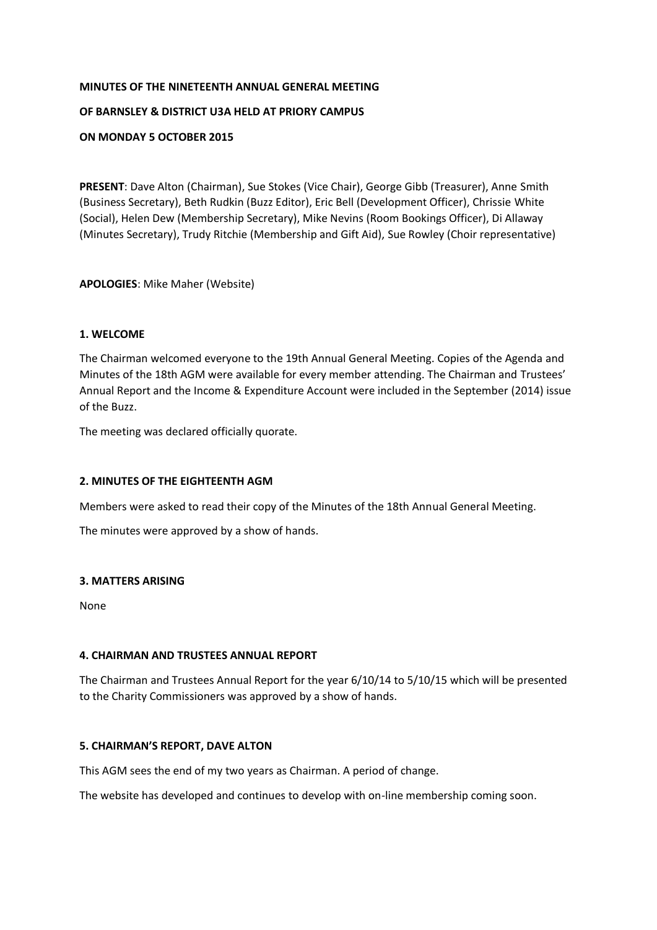# **MINUTES OF THE NINETEENTH ANNUAL GENERAL MEETING OF BARNSLEY & DISTRICT U3A HELD AT PRIORY CAMPUS**

# **ON MONDAY 5 OCTOBER 2015**

**PRESENT**: Dave Alton (Chairman), Sue Stokes (Vice Chair), George Gibb (Treasurer), Anne Smith (Business Secretary), Beth Rudkin (Buzz Editor), Eric Bell (Development Officer), Chrissie White (Social), Helen Dew (Membership Secretary), Mike Nevins (Room Bookings Officer), Di Allaway (Minutes Secretary), Trudy Ritchie (Membership and Gift Aid), Sue Rowley (Choir representative)

# **APOLOGIES**: Mike Maher (Website)

## **1. WELCOME**

The Chairman welcomed everyone to the 19th Annual General Meeting. Copies of the Agenda and Minutes of the 18th AGM were available for every member attending. The Chairman and Trustees' Annual Report and the Income & Expenditure Account were included in the September (2014) issue of the Buzz.

The meeting was declared officially quorate.

# **2. MINUTES OF THE EIGHTEENTH AGM**

Members were asked to read their copy of the Minutes of the 18th Annual General Meeting.

The minutes were approved by a show of hands.

## **3. MATTERS ARISING**

None

## **4. CHAIRMAN AND TRUSTEES ANNUAL REPORT**

The Chairman and Trustees Annual Report for the year 6/10/14 to 5/10/15 which will be presented to the Charity Commissioners was approved by a show of hands.

## **5. CHAIRMAN'S REPORT, DAVE ALTON**

This AGM sees the end of my two years as Chairman. A period of change.

The website has developed and continues to develop with on-line membership coming soon.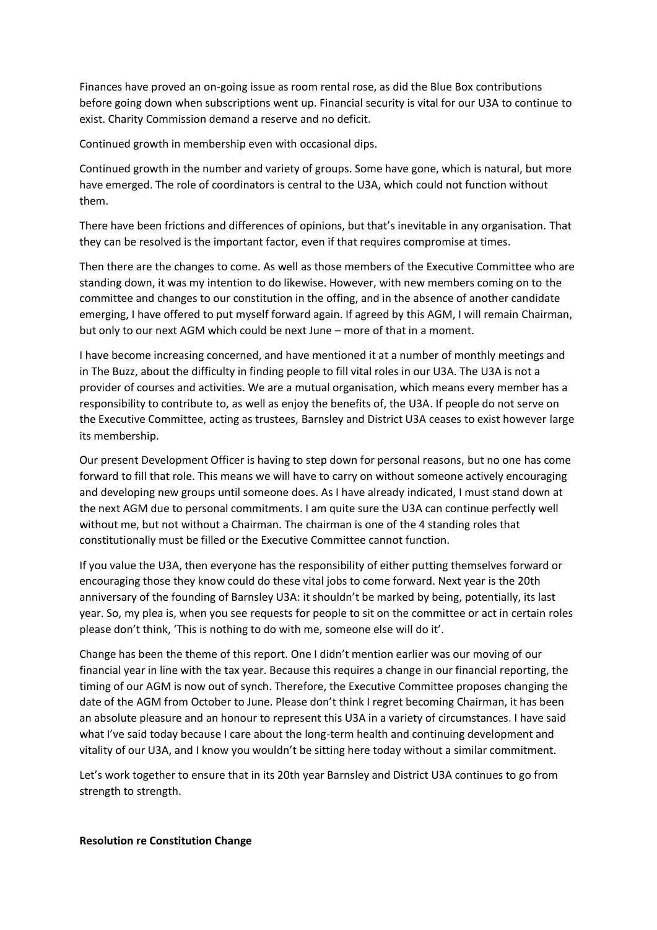Finances have proved an on-going issue as room rental rose, as did the Blue Box contributions before going down when subscriptions went up. Financial security is vital for our U3A to continue to exist. Charity Commission demand a reserve and no deficit.

Continued growth in membership even with occasional dips.

Continued growth in the number and variety of groups. Some have gone, which is natural, but more have emerged. The role of coordinators is central to the U3A, which could not function without them.

There have been frictions and differences of opinions, but that's inevitable in any organisation. That they can be resolved is the important factor, even if that requires compromise at times.

Then there are the changes to come. As well as those members of the Executive Committee who are standing down, it was my intention to do likewise. However, with new members coming on to the committee and changes to our constitution in the offing, and in the absence of another candidate emerging, I have offered to put myself forward again. If agreed by this AGM, I will remain Chairman, but only to our next AGM which could be next June – more of that in a moment.

I have become increasing concerned, and have mentioned it at a number of monthly meetings and in The Buzz, about the difficulty in finding people to fill vital roles in our U3A. The U3A is not a provider of courses and activities. We are a mutual organisation, which means every member has a responsibility to contribute to, as well as enjoy the benefits of, the U3A. If people do not serve on the Executive Committee, acting as trustees, Barnsley and District U3A ceases to exist however large its membership.

Our present Development Officer is having to step down for personal reasons, but no one has come forward to fill that role. This means we will have to carry on without someone actively encouraging and developing new groups until someone does. As I have already indicated, I must stand down at the next AGM due to personal commitments. I am quite sure the U3A can continue perfectly well without me, but not without a Chairman. The chairman is one of the 4 standing roles that constitutionally must be filled or the Executive Committee cannot function.

If you value the U3A, then everyone has the responsibility of either putting themselves forward or encouraging those they know could do these vital jobs to come forward. Next year is the 20th anniversary of the founding of Barnsley U3A: it shouldn't be marked by being, potentially, its last year. So, my plea is, when you see requests for people to sit on the committee or act in certain roles please don't think, 'This is nothing to do with me, someone else will do it'.

Change has been the theme of this report. One I didn't mention earlier was our moving of our financial year in line with the tax year. Because this requires a change in our financial reporting, the timing of our AGM is now out of synch. Therefore, the Executive Committee proposes changing the date of the AGM from October to June. Please don't think I regret becoming Chairman, it has been an absolute pleasure and an honour to represent this U3A in a variety of circumstances. I have said what I've said today because I care about the long-term health and continuing development and vitality of our U3A, and I know you wouldn't be sitting here today without a similar commitment.

Let's work together to ensure that in its 20th year Barnsley and District U3A continues to go from strength to strength.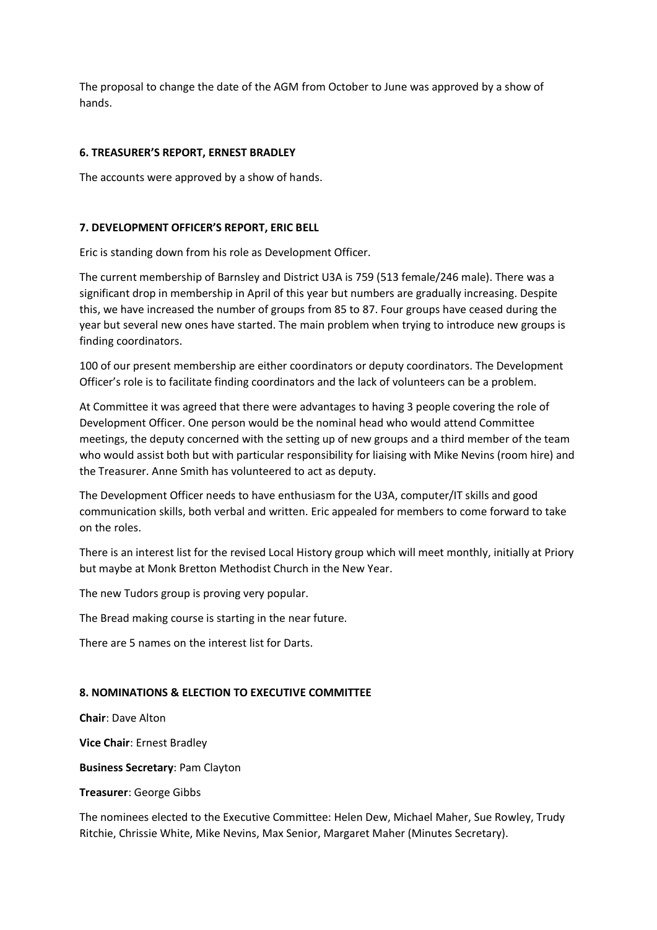The proposal to change the date of the AGM from October to June was approved by a show of hands.

## **6. TREASURER'S REPORT, ERNEST BRADLEY**

The accounts were approved by a show of hands.

## **7. DEVELOPMENT OFFICER'S REPORT, ERIC BELL**

Eric is standing down from his role as Development Officer.

The current membership of Barnsley and District U3A is 759 (513 female/246 male). There was a significant drop in membership in April of this year but numbers are gradually increasing. Despite this, we have increased the number of groups from 85 to 87. Four groups have ceased during the year but several new ones have started. The main problem when trying to introduce new groups is finding coordinators.

100 of our present membership are either coordinators or deputy coordinators. The Development Officer's role is to facilitate finding coordinators and the lack of volunteers can be a problem.

At Committee it was agreed that there were advantages to having 3 people covering the role of Development Officer. One person would be the nominal head who would attend Committee meetings, the deputy concerned with the setting up of new groups and a third member of the team who would assist both but with particular responsibility for liaising with Mike Nevins (room hire) and the Treasurer. Anne Smith has volunteered to act as deputy.

The Development Officer needs to have enthusiasm for the U3A, computer/IT skills and good communication skills, both verbal and written. Eric appealed for members to come forward to take on the roles.

There is an interest list for the revised Local History group which will meet monthly, initially at Priory but maybe at Monk Bretton Methodist Church in the New Year.

The new Tudors group is proving very popular.

The Bread making course is starting in the near future.

There are 5 names on the interest list for Darts.

# **8. NOMINATIONS & ELECTION TO EXECUTIVE COMMITTEE**

**Chair**: Dave Alton

**Vice Chair**: Ernest Bradley

**Business Secretary**: Pam Clayton

**Treasurer**: George Gibbs

The nominees elected to the Executive Committee: Helen Dew, Michael Maher, Sue Rowley, Trudy Ritchie, Chrissie White, Mike Nevins, Max Senior, Margaret Maher (Minutes Secretary).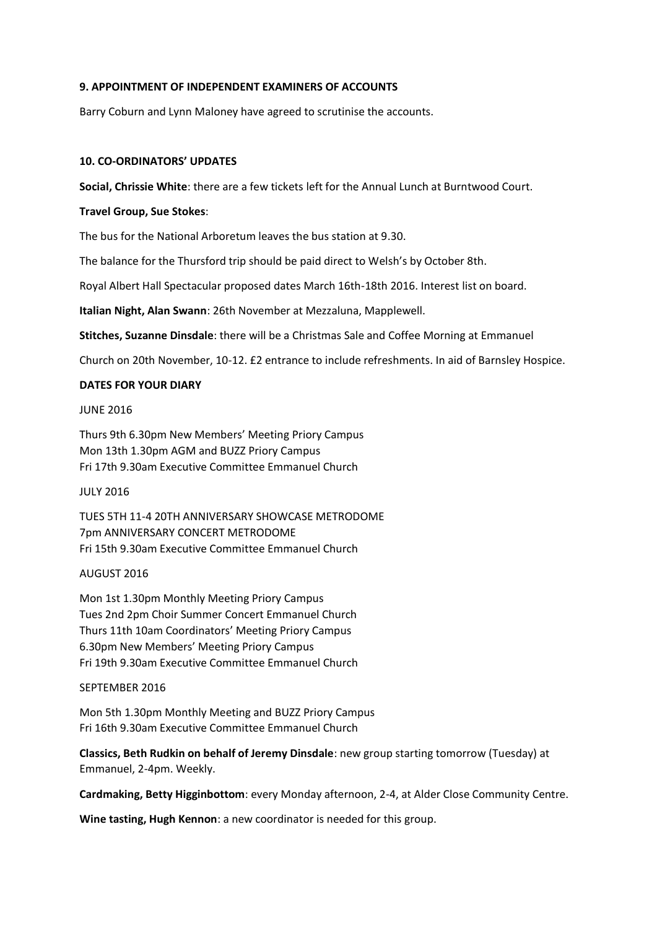#### **9. APPOINTMENT OF INDEPENDENT EXAMINERS OF ACCOUNTS**

Barry Coburn and Lynn Maloney have agreed to scrutinise the accounts.

### **10. CO-ORDINATORS' UPDATES**

**Social, Chrissie White**: there are a few tickets left for the Annual Lunch at Burntwood Court.

## **Travel Group, Sue Stokes**:

The bus for the National Arboretum leaves the bus station at 9.30.

The balance for the Thursford trip should be paid direct to Welsh's by October 8th.

Royal Albert Hall Spectacular proposed dates March 16th-18th 2016. Interest list on board.

**Italian Night, Alan Swann**: 26th November at Mezzaluna, Mapplewell.

**Stitches, Suzanne Dinsdale**: there will be a Christmas Sale and Coffee Morning at Emmanuel

Church on 20th November, 10-12. £2 entrance to include refreshments. In aid of Barnsley Hospice.

#### **DATES FOR YOUR DIARY**

#### JUNE 2016

Thurs 9th 6.30pm New Members' Meeting Priory Campus Mon 13th 1.30pm AGM and BUZZ Priory Campus Fri 17th 9.30am Executive Committee Emmanuel Church

JULY 2016

TUES 5TH 11-4 20TH ANNIVERSARY SHOWCASE METRODOME 7pm ANNIVERSARY CONCERT METRODOME Fri 15th 9.30am Executive Committee Emmanuel Church

## AUGUST 2016

Mon 1st 1.30pm Monthly Meeting Priory Campus Tues 2nd 2pm Choir Summer Concert Emmanuel Church Thurs 11th 10am Coordinators' Meeting Priory Campus 6.30pm New Members' Meeting Priory Campus Fri 19th 9.30am Executive Committee Emmanuel Church

#### SEPTEMBER 2016

Mon 5th 1.30pm Monthly Meeting and BUZZ Priory Campus Fri 16th 9.30am Executive Committee Emmanuel Church

**Classics, Beth Rudkin on behalf of Jeremy Dinsdale**: new group starting tomorrow (Tuesday) at Emmanuel, 2-4pm. Weekly.

**Cardmaking, Betty Higginbottom**: every Monday afternoon, 2-4, at Alder Close Community Centre.

**Wine tasting, Hugh Kennon**: a new coordinator is needed for this group.